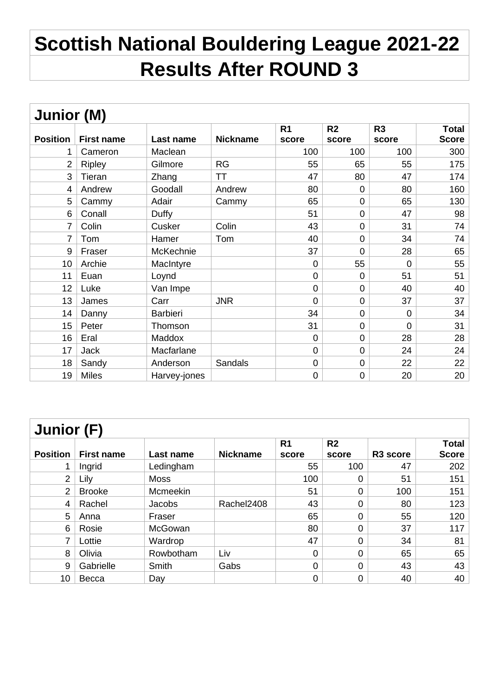## **Scottish National Bouldering League 2021-22 Results After ROUND 3**

| <b>Junior (M)</b> |                   |                 |                 |                |                |                |       |  |  |
|-------------------|-------------------|-----------------|-----------------|----------------|----------------|----------------|-------|--|--|
|                   |                   |                 |                 | R <sub>1</sub> | R <sub>2</sub> | R <sub>3</sub> | Total |  |  |
| <b>Position</b>   | <b>First name</b> | Last name       | <b>Nickname</b> | score          | score          | score          | Score |  |  |
| 1                 | Cameron           | Maclean         |                 | 100            | 100            | 100            | 300   |  |  |
| $\overline{2}$    | <b>Ripley</b>     | Gilmore         | <b>RG</b>       | 55             | 65             | 55             | 175   |  |  |
| 3                 | Tieran            | Zhang           | ТT              | 47             | 80             | 47             | 174   |  |  |
| 4                 | Andrew            | Goodall         | Andrew          | 80             | $\overline{0}$ | 80             | 160   |  |  |
| 5                 | Cammy             | Adair           | Cammy           | 65             | $\mathbf 0$    | 65             | 130   |  |  |
| 6                 | Conall            | Duffy           |                 | 51             | $\mathbf 0$    | 47             | 98    |  |  |
| $\overline{7}$    | Colin             | Cusker          | Colin           | 43             | $\mathbf 0$    | 31             | 74    |  |  |
| 7                 | Tom               | Hamer           | Tom             | 40             | $\mathbf 0$    | 34             | 74    |  |  |
| 9                 | Fraser            | McKechnie       |                 | 37             | $\overline{0}$ | 28             | 65    |  |  |
| 10                | Archie            | MacIntyre       |                 | $\mathbf 0$    | 55             | $\overline{0}$ | 55    |  |  |
| 11                | Euan              | Loynd           |                 | $\mathbf 0$    | $\overline{0}$ | 51             | 51    |  |  |
| 12                | Luke              | Van Impe        |                 | $\mathbf 0$    | $\overline{0}$ | 40             | 40    |  |  |
| 13                | James             | Carr            | <b>JNR</b>      | 0              | 0              | 37             | 37    |  |  |
| 14                | Danny             | <b>Barbieri</b> |                 | 34             | $\overline{0}$ | 0              | 34    |  |  |
| 15                | Peter             | Thomson         |                 | 31             | $\mathbf 0$    | $\overline{0}$ | 31    |  |  |
| 16                | Eral              | Maddox          |                 | $\mathbf 0$    | $\mathbf 0$    | 28             | 28    |  |  |
| 17                | Jack              | Macfarlane      |                 | $\overline{0}$ | $\overline{0}$ | 24             | 24    |  |  |
| 18                | Sandy             | Anderson        | Sandals         | $\mathbf 0$    | $\mathbf 0$    | 22             | 22    |  |  |
| 19                | <b>Miles</b>      | Harvey-jones    |                 | 0              | 0              | 20             | 20    |  |  |

| <b>Junior (F)</b> |                   |             |                 |                         |                         |          |                              |  |
|-------------------|-------------------|-------------|-----------------|-------------------------|-------------------------|----------|------------------------------|--|
| <b>Position</b>   | <b>First name</b> | Last name   | <b>Nickname</b> | R <sub>1</sub><br>score | R <sub>2</sub><br>score | R3 score | <b>Total</b><br><b>Score</b> |  |
| 1                 | Ingrid            | Ledingham   |                 | 55                      | 100                     | 47       | 202                          |  |
| $\overline{2}$    | Lily              | <b>Moss</b> |                 | 100                     | 0                       | 51       | 151                          |  |
| $\overline{2}$    | <b>Brooke</b>     | Mcmeekin    |                 | 51                      | $\overline{0}$          | 100      | 151                          |  |
| 4                 | Rachel            | Jacobs      | Rachel2408      | 43                      | 0                       | 80       | 123                          |  |
| 5                 | Anna              | Fraser      |                 | 65                      | 0                       | 55       | 120                          |  |
| 6                 | Rosie             | McGowan     |                 | 80                      | 0                       | 37       | 117                          |  |
| 7                 | Lottie            | Wardrop     |                 | 47                      | 0                       | 34       | 81                           |  |
| 8                 | Olivia            | Rowbotham   | Liv             | 0                       | $\overline{0}$          | 65       | 65                           |  |
| 9                 | Gabrielle         | Smith       | Gabs            | 0                       | $\overline{0}$          | 43       | 43                           |  |
| 10                | Becca             | Day         |                 | 0                       | 0                       | 40       | 40                           |  |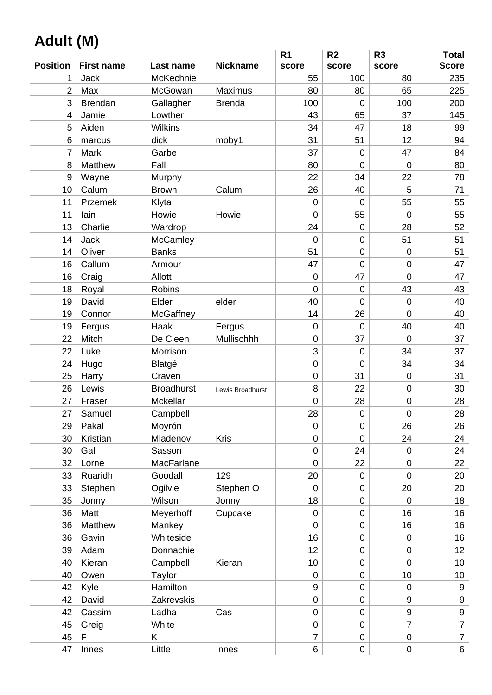| Adult (M)       |                   |                   |                  |                         |                         |                         |                              |  |
|-----------------|-------------------|-------------------|------------------|-------------------------|-------------------------|-------------------------|------------------------------|--|
| <b>Position</b> | <b>First name</b> | Last name         | <b>Nickname</b>  | R <sub>1</sub><br>score | R <sub>2</sub><br>score | R <sub>3</sub><br>score | <b>Total</b><br><b>Score</b> |  |
| 1               | <b>Jack</b>       | McKechnie         |                  | 55                      | 100                     | 80                      | 235                          |  |
| $\overline{2}$  | Max               | McGowan           | <b>Maximus</b>   | 80                      | 80                      | 65                      | 225                          |  |
| 3               | <b>Brendan</b>    | Gallagher         | <b>Brenda</b>    | 100                     | $\mathbf 0$             | 100                     | 200                          |  |
| $\overline{4}$  | Jamie             | Lowther           |                  | 43                      | 65                      | 37                      | 145                          |  |
| 5               | Aiden             | <b>Wilkins</b>    |                  | 34                      | 47                      | 18                      | 99                           |  |
| 6               | marcus            | dick              | moby1            | 31                      | 51                      | 12                      | 94                           |  |
| $\overline{7}$  | Mark              | Garbe             |                  | 37                      | $\mathbf 0$             | 47                      | 84                           |  |
| 8               | Matthew           | Fall              |                  | 80                      | $\overline{0}$          | $\mathbf 0$             | 80                           |  |
| 9               | Wayne             | Murphy            |                  | 22                      | 34                      | 22                      | 78                           |  |
| 10              | Calum             | <b>Brown</b>      | Calum            | 26                      | 40                      | 5                       | 71                           |  |
| 11              | Przemek           | Klyta             |                  | $\mathbf 0$             | $\overline{0}$          | 55                      | 55                           |  |
| 11              | lain              | Howie             | Howie            | $\overline{0}$          | 55                      | $\mathbf 0$             | 55                           |  |
| 13              | Charlie           | Wardrop           |                  | 24                      | $\mathbf 0$             | 28                      | 52                           |  |
| 14              | <b>Jack</b>       | <b>McCamley</b>   |                  | $\mathbf 0$             | $\mathbf 0$             | 51                      | 51                           |  |
| 14              | Oliver            | <b>Banks</b>      |                  | 51                      | $\mathbf 0$             | $\mathbf 0$             | 51                           |  |
| 16              | Callum            | Armour            |                  | 47                      | $\overline{0}$          | $\mathbf 0$             | 47                           |  |
| 16              | Craig             | Allott            |                  | $\mathbf 0$             | 47                      | $\overline{0}$          | 47                           |  |
| 18              | Royal             | <b>Robins</b>     |                  | 0                       | $\mathbf 0$             | 43                      | 43                           |  |
| 19              | David             | Elder             | elder            | 40                      | $\overline{0}$          | $\mathbf 0$             | 40                           |  |
| 19              | Connor            | McGaffney         |                  | 14                      | 26                      | $\overline{0}$          | 40                           |  |
| 19              | Fergus            | Haak              | Fergus           | $\mathbf 0$             | $\mathbf 0$             | 40                      | 40                           |  |
| 22              | Mitch             | De Cleen          | Mullischhh       | $\boldsymbol{0}$        | 37                      | $\overline{0}$          | 37                           |  |
| 22              | Luke              | Morrison          |                  | 3                       | $\mathbf 0$             | 34                      | 37                           |  |
| 24              | Hugo              | Blatgé            |                  | $\mathsf{O}\xspace$     | 0                       | 34                      | 34                           |  |
| 25              | Harry             | Craven            |                  | $\mathbf 0$             | 31                      | $\mathbf 0$             | 31                           |  |
| 26              | Lewis             | <b>Broadhurst</b> | Lewis Broadhurst | 8                       | 22                      | $\mathbf 0$             | 30                           |  |
| 27              | Fraser            | Mckellar          |                  | $\pmb{0}$               | <b>28</b>               | $\mathbf 0$             | 28                           |  |
| 27              | Samuel            | Campbell          |                  | 28                      | $\mathbf 0$             | $\overline{0}$          | 28                           |  |
| 29              | Pakal             | Moyrón            |                  | $\mathbf 0$             | $\mathbf 0$             | 26                      | 26                           |  |
| 30              | Kristian          | Mladenov          | Kris             | $\mathbf 0$             | $\mathbf 0$             | 24                      | 24                           |  |
| 30              | Gal               | Sasson            |                  | $\mathbf 0$             | 24                      | $\mathbf 0$             | 24                           |  |
| 32              | Lorne             | MacFarlane        |                  | $\overline{0}$          | 22                      | $\pmb{0}$               | 22                           |  |
| 33              | Ruaridh           | Goodall           | 129              | 20                      | $\mathbf 0$             | $\mathbf 0$             | 20                           |  |
| 33              | Stephen           | Ogilvie           | Stephen O        | 0                       | $\mathbf 0$             | 20                      | 20                           |  |
| 35              | Jonny             | Wilson            | Jonny            | 18                      | $\boldsymbol{0}$        | $\overline{0}$          | 18                           |  |
| 36              | Matt              | Meyerhoff         | Cupcake          | $\mathbf 0$             | $\mathbf 0$             | 16                      | 16                           |  |
| 36              | Matthew           | Mankey            |                  | $\mathbf 0$             | $\mathbf 0$             | 16                      | 16                           |  |
| 36              | Gavin             | Whiteside         |                  | 16                      | $\mathbf 0$             | $\mathbf 0$             | 16                           |  |
| 39              | Adam              | Donnachie         |                  | 12                      | $\boldsymbol{0}$        | $\mathbf 0$             | 12 <sub>2</sub>              |  |
| 40              | Kieran            | Campbell          | Kieran           | 10                      | $\mathbf 0$             | $\overline{0}$          | 10 <sup>°</sup>              |  |
| 40              | Owen              | Taylor            |                  | $\mathbf 0$             | $\pmb{0}$               | 10                      | 10 <sup>°</sup>              |  |
| 42              | Kyle              | Hamilton          |                  | $9\,$                   | $\mathbf 0$             | $\overline{0}$          | 9                            |  |
| 42              | David             | Zakrevskis        |                  | $\boldsymbol{0}$        | $\pmb{0}$               | 9                       | 9                            |  |
| 42              | Cassim            | Ladha             | Cas              | $\mathbf 0$             | $\mathbf 0$             | 9                       | 9                            |  |
| 45              | Greig             | White             |                  | $\mathbf 0$             | $\mathbf 0$             | $\overline{7}$          | $\overline{7}$               |  |
| 45              | F                 | Κ                 |                  | $\overline{7}$          | 0                       | $\mathbf 0$             | $\overline{7}$               |  |
| 47              | Innes             | Little            | Innes            | 6                       | $\pmb{0}$               | $\mathbf 0$             | 6 <sup>1</sup>               |  |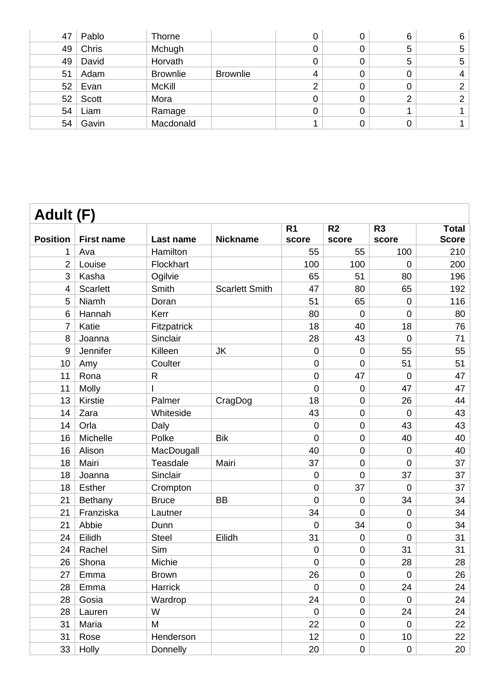| 47 | Pablo | <b>Thorne</b>   |                 |   | 6 | 6 |
|----|-------|-----------------|-----------------|---|---|---|
| 49 | Chris | Mchugh          |                 |   | 5 | 5 |
| 49 | David | Horvath         |                 |   | 5 | 5 |
| 51 | Adam  | <b>Brownlie</b> | <b>Brownlie</b> | 4 |   | 4 |
| 52 | Evan  | <b>McKill</b>   |                 |   |   |   |
| 52 | Scott | Mora            |                 |   | ⌒ |   |
| 54 | Liam  | Ramage          |                 |   |   |   |
| 54 | Gavin | Macdonald       |                 |   |   |   |

| Adult (F)       |                   |              |                       |                |                |                  |              |  |
|-----------------|-------------------|--------------|-----------------------|----------------|----------------|------------------|--------------|--|
|                 |                   |              |                       | R <sub>1</sub> | R <sub>2</sub> | R <sub>3</sub>   | Total        |  |
| <b>Position</b> | <b>First name</b> | Last name    | <b>Nickname</b>       | score          | score          | score            | <b>Score</b> |  |
| 1               | Ava               | Hamilton     |                       | 55             | 55             | 100              | 210          |  |
| $\overline{2}$  | Louise            | Flockhart    |                       | 100            | 100            | $\overline{0}$   | 200          |  |
| 3               | Kasha             | Ogilvie      |                       | 65             | 51             | 80               | 196          |  |
| 4               | <b>Scarlett</b>   | Smith        | <b>Scarlett Smith</b> | 47             | 80             | 65               | 192          |  |
| 5               | Niamh             | Doran        |                       | 51             | 65             | $\mathbf 0$      | 116          |  |
| 6               | Hannah            | Kerr         |                       | 80             | $\mathbf 0$    | $\mathbf 0$      | 80           |  |
| $\overline{7}$  | Katie             | Fitzpatrick  |                       | 18             | 40             | 18               | 76           |  |
| 8               | Joanna            | Sinclair     |                       | 28             | 43             | $\mathbf 0$      | 71           |  |
| 9               | Jennifer          | Killeen      | <b>JK</b>             | $\overline{0}$ | $\overline{0}$ | 55               | 55           |  |
| 10              | Amy               | Coulter      |                       | $\overline{0}$ | $\overline{0}$ | 51               | 51           |  |
| 11              | Rona              | $\mathsf R$  |                       | $\overline{0}$ | 47             | $\mathbf 0$      | 47           |  |
| 11              | Molly             |              |                       | $\overline{0}$ | $\mathbf 0$    | 47               | 47           |  |
| 13              | Kirstie           | Palmer       | CragDog               | 18             | $\overline{0}$ | 26               | 44           |  |
| 14              | Zara              | Whiteside    |                       | 43             | $\mathbf 0$    | $\mathbf 0$      | 43           |  |
| 14              | Orla              | Daly         |                       | $\overline{0}$ | $\overline{0}$ | 43               | 43           |  |
| 16              | Michelle          | Polke        | <b>Bik</b>            | $\overline{0}$ | $\mathbf 0$    | 40               | 40           |  |
| 16              | Alison            | MacDougall   |                       | 40             | $\overline{0}$ | $\mathbf 0$      | 40           |  |
| 18              | Mairi             | Teasdale     | Mairi                 | 37             | $\mathbf 0$    | $\mathbf 0$      | 37           |  |
| 18              | Joanna            | Sinclair     |                       | 0              | $\overline{0}$ | 37               | 37           |  |
| 18              | <b>Esther</b>     | Crompton     |                       | $\overline{0}$ | 37             | 0                | 37           |  |
| 21              | Bethany           | <b>Bruce</b> | <b>BB</b>             | $\overline{0}$ | $\mathbf 0$    | 34               | 34           |  |
| 21              | Franziska         | Lautner      |                       | 34             | $\overline{0}$ | $\mathbf 0$      | 34           |  |
| 21              | Abbie             | Dunn         |                       | $\overline{0}$ | 34             | $\mathbf 0$      | 34           |  |
| 24              | Eilidh            | <b>Steel</b> | Eilidh                | 31             | $\mathbf 0$    | $\mathbf 0$      | 31           |  |
| 24              | Rachel            | Sim          |                       | $\overline{0}$ | $\mathbf 0$    | 31               | 31           |  |
| 26              | Shona             | Michie       |                       | 0              | $\mathbf 0$    | 28               | 28           |  |
| 27              | Emma              | <b>Brown</b> |                       | 26             | $\mathbf 0$    | $\boldsymbol{0}$ | 26           |  |
| 28              | Emma              | Harrick      |                       | $\overline{0}$ | $\mathbf 0$    | 24               | 24           |  |
| 28              | Gosia             | Wardrop      |                       | 24             | $\mathbf 0$    | $\mathbf 0$      | 24           |  |
| 28              | Lauren            | W            |                       | $\mathbf 0$    | 0              | 24               | 24           |  |
| 31              | Maria             | M            |                       | 22             | $\mathbf 0$    | $\mathbf 0$      | 22           |  |
| 31              | Rose              | Henderson    |                       | 12             | 0              | 10 <sup>°</sup>  | 22           |  |
| 33              | Holly             | Donnelly     |                       | 20             | 0              | $\mathbf 0$      | 20           |  |